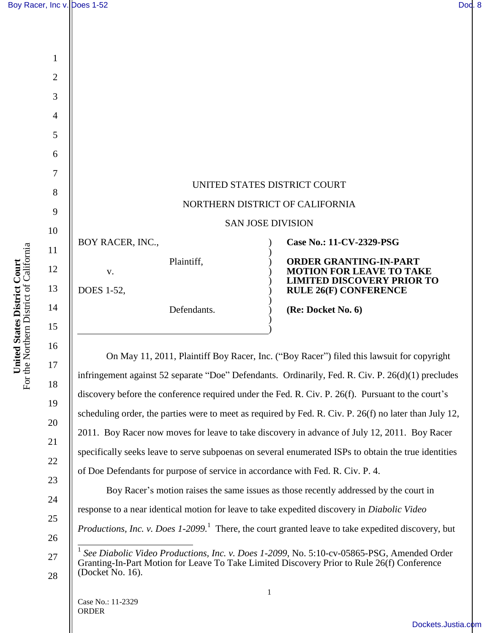1

2



On May 11, 2011, Plaintiff Boy Racer, Inc. ("Boy Racer") filed this lawsuit for copyright infringement against 52 separate "Doe" Defendants. Ordinarily, Fed. R. Civ. P. 26(d)(1) precludes discovery before the conference required under the Fed. R. Civ. P. 26(f). Pursuant to the court's scheduling order, the parties were to meet as required by Fed. R. Civ. P. 26(f) no later than July 12, 2011. Boy Racer now moves for leave to take discovery in advance of July 12, 2011. Boy Racer specifically seeks leave to serve subpoenas on several enumerated ISPs to obtain the true identities of Doe Defendants for purpose of service in accordance with Fed. R. Civ. P. 4.

Boy Racer's motion raises the same issues as those recently addressed by the court in response to a near identical motion for leave to take expedited discovery in *Diabolic Video Productions, Inc. v. Does 1-2099.*<sup>1</sup> There, the court granted leave to take expedited discovery, but

16

17

18

19

20

21

22

23

24

25

26

27

28

 $\overline{\phantom{a}}$ 1 *See Diabolic Video Productions, Inc. v. Does 1-2099*, No. 5:10-cv-05865-PSG, Amended Order Granting-In-Part Motion for Leave To Take Limited Discovery Prior to Rule 26(f) Conference (Docket No. 16).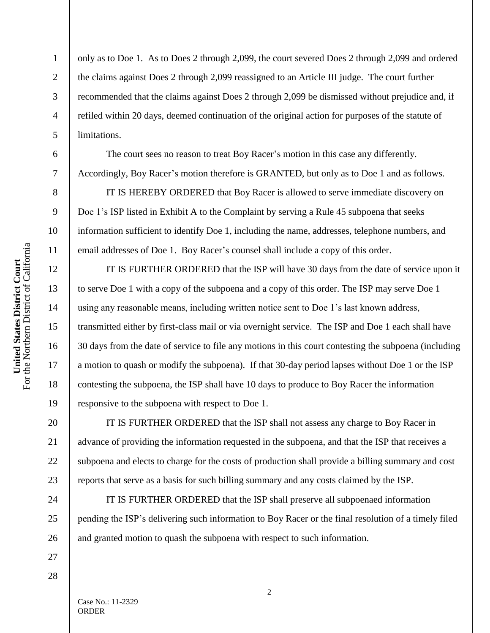1

2

3

4

5

6

7

8

9

10

11

12

13

14

15

16

17

18

19

20

21

22

23

24

25

26

27

28

only as to Doe 1. As to Does 2 through 2,099, the court severed Does 2 through 2,099 and ordered the claims against Does 2 through 2,099 reassigned to an Article III judge. The court further recommended that the claims against Does 2 through 2,099 be dismissed without prejudice and, if refiled within 20 days, deemed continuation of the original action for purposes of the statute of limitations.

The court sees no reason to treat Boy Racer's motion in this case any differently. Accordingly, Boy Racer's motion therefore is GRANTED, but only as to Doe 1 and as follows.

IT IS HEREBY ORDERED that Boy Racer is allowed to serve immediate discovery on Doe 1's ISP listed in Exhibit A to the Complaint by serving a Rule 45 subpoena that seeks information sufficient to identify Doe 1, including the name, addresses, telephone numbers, and email addresses of Doe 1. Boy Racer's counsel shall include a copy of this order.

IT IS FURTHER ORDERED that the ISP will have 30 days from the date of service upon it to serve Doe 1 with a copy of the subpoena and a copy of this order. The ISP may serve Doe 1 using any reasonable means, including written notice sent to Doe 1's last known address, transmitted either by first-class mail or via overnight service. The ISP and Doe 1 each shall have 30 days from the date of service to file any motions in this court contesting the subpoena (including a motion to quash or modify the subpoena). If that 30-day period lapses without Doe 1 or the ISP contesting the subpoena, the ISP shall have 10 days to produce to Boy Racer the information responsive to the subpoena with respect to Doe 1.

IT IS FURTHER ORDERED that the ISP shall not assess any charge to Boy Racer in advance of providing the information requested in the subpoena, and that the ISP that receives a subpoena and elects to charge for the costs of production shall provide a billing summary and cost reports that serve as a basis for such billing summary and any costs claimed by the ISP.

IT IS FURTHER ORDERED that the ISP shall preserve all subpoenaed information pending the ISP's delivering such information to Boy Racer or the final resolution of a timely filed and granted motion to quash the subpoena with respect to such information.

Case No.: 11-2329 ORDER

2